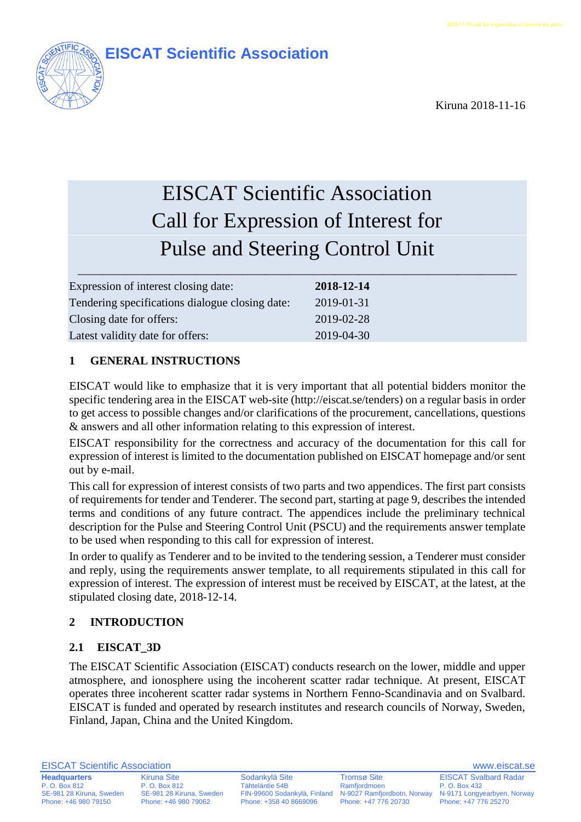

Kiruna 2018-11-16

# EISCAT Scientific Association Call for Expression of Interest for Pulse and Steering Control Unit

\_\_\_\_\_\_\_\_\_\_\_\_\_\_\_\_\_\_\_\_\_\_\_\_\_\_\_\_\_\_\_\_\_\_\_\_\_\_\_\_\_\_\_\_\_\_\_\_\_\_\_\_\_\_\_\_\_\_\_\_\_\_\_\_\_\_\_\_\_\_\_\_\_\_\_

| Expression of interest closing date:            | 2018-12-14 |
|-------------------------------------------------|------------|
| Tendering specifications dialogue closing date: | 2019-01-31 |
| Closing date for offers:                        | 2019-02-28 |
| Latest validity date for offers:                | 2019-04-30 |

## **1 GENERAL INSTRUCTIONS**

EISCAT would like to emphasize that it is very important that all potential bidders monitor the specific tendering area in the EISCAT web-site [\(http://eiscat.se/tenders\)](http://eiscat.se/tenders) on a regular basis in order to get access to possible changes and/or clarifications of the procurement, cancellations, questions & answers and all other information relating to this expression of interest.

EISCAT responsibility for the correctness and accuracy of the documentation for this call for expression of interest is limited to the documentation published on EISCAT homepage and/or sent out by e-mail.

This call for expression of interest consists of two parts and two appendices. The first part consists of requirements for tender and Tenderer. The second part, starting at pag[e 9,](#page-8-0) describes the intended terms and conditions of any future contract. The appendices include the preliminary technical description for the Pulse and Steering Control Unit (PSCU) and the requirements answer template to be used when responding to this call for expression of interest.

In order to qualify as Tenderer and to be invited to the tendering session, a Tenderer must consider and reply, using the requirements answer template, to all requirements stipulated in this call for expression of interest. The expression of interest must be received by EISCAT, at the latest, at the stipulated closing date, 2018-12-14*.*

# **2 INTRODUCTION**

# **2.1 EISCAT\_3D**

The EISCAT Scientific Association (EISCAT) conducts research on the lower, middle and upper atmosphere, and ionosphere using the incoherent scatter radar technique. At present, EISCAT operates three incoherent scatter radar systems in Northern Fenno-Scandinavia and on Svalbard. EISCAT is funded and operated by research institutes and research councils of Norway, Sweden, Finland, Japan, China and the United Kingdom.

EISCAT Scientific Association www.eiscat.se

**Headquarters** Kiruna Site Sodankylä Site Tromsø Site EISCAT Svalbard Radar<br>
P. O. Box 812 P. O. Box 812 Tähteläntie 54B Ramfjordmoen P. O. Box 432

FIN-99600 Sodankylä, Finland

P. O. Box 812 P. O. Box 812 P. O. Box 812 P. O. Box 812 P. O. Box 432 Ramfjordmoen P. O. Box 432<br>SE-981 28 Kiruna, Sweden PIN-99600 Sodankylä, Finland N-9027 Ramfjordbotn, Norway N-9171 Longyearbyen, Norway Phone: +46 980 79150 Phone: +46 980 79062 Phone: +358 40 8669096 Phone: +47 776 20730 Phone: +47 776 25270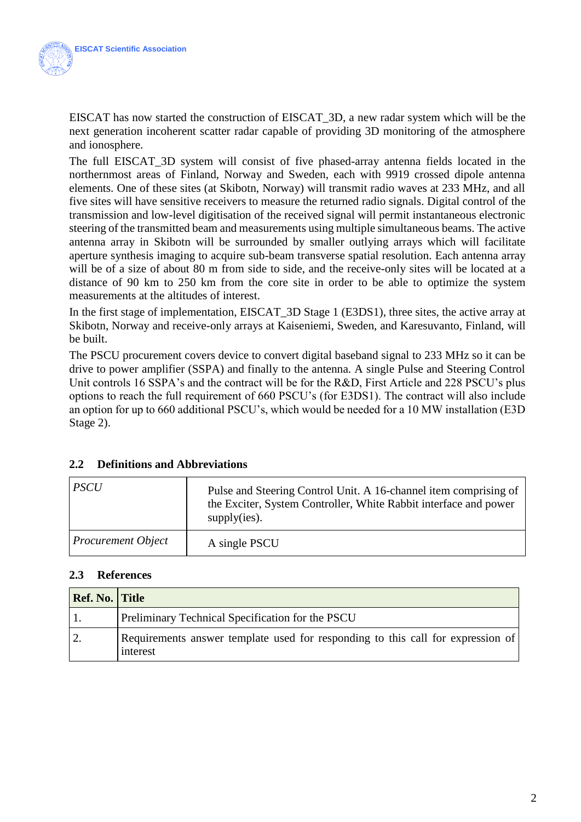

EISCAT has now started the construction of EISCAT\_3D, a new radar system which will be the next generation incoherent scatter radar capable of providing 3D monitoring of the atmosphere and ionosphere.

The full EISCAT\_3D system will consist of five phased-array antenna fields located in the northernmost areas of Finland, Norway and Sweden, each with 9919 crossed dipole antenna elements. One of these sites (at Skibotn, Norway) will transmit radio waves at 233 MHz, and all five sites will have sensitive receivers to measure the returned radio signals. Digital control of the transmission and low-level digitisation of the received signal will permit instantaneous electronic steering of the transmitted beam and measurements using multiple simultaneous beams. The active antenna array in Skibotn will be surrounded by smaller outlying arrays which will facilitate aperture synthesis imaging to acquire sub-beam transverse spatial resolution. Each antenna array will be of a size of about 80 m from side to side, and the receive-only sites will be located at a distance of 90 km to 250 km from the core site in order to be able to optimize the system measurements at the altitudes of interest.

In the first stage of implementation, EISCAT\_3D Stage 1 (E3DS1), three sites, the active array at Skibotn, Norway and receive-only arrays at Kaiseniemi, Sweden, and Karesuvanto, Finland, will be built.

The PSCU procurement covers device to convert digital baseband signal to 233 MHz so it can be drive to power amplifier (SSPA) and finally to the antenna. A single Pulse and Steering Control Unit controls 16 SSPA's and the contract will be for the R&D, First Article and 228 PSCU's plus options to reach the full requirement of 660 PSCU's (for E3DS1). The contract will also include an option for up to 660 additional PSCU's, which would be needed for a 10 MW installation (E3D Stage 2).

| <b>PSCU</b>               | Pulse and Steering Control Unit. A 16-channel item comprising of<br>the Exciter, System Controller, White Rabbit interface and power<br>$supply$ (ies). |
|---------------------------|---------------------------------------------------------------------------------------------------------------------------------------------------------|
| <b>Procurement Object</b> | A single PSCU                                                                                                                                           |

#### **2.2 Definitions and Abbreviations**

#### **2.3 References**

| Ref. No.   Title |                                                                                             |
|------------------|---------------------------------------------------------------------------------------------|
|                  | Preliminary Technical Specification for the PSCU                                            |
|                  | Requirements answer template used for responding to this call for expression of<br>interest |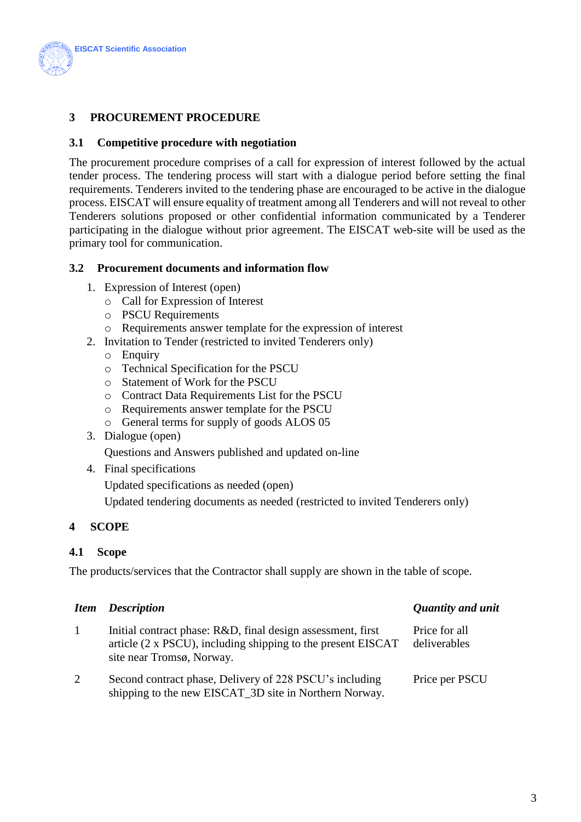

#### **3 PROCUREMENT PROCEDURE**

#### **3.1 Competitive procedure with negotiation**

The procurement procedure comprises of a call for expression of interest followed by the actual tender process. The tendering process will start with a dialogue period before setting the final requirements. Tenderers invited to the tendering phase are encouraged to be active in the dialogue process. EISCAT will ensure equality of treatment among all Tenderers and will not reveal to other Tenderers solutions proposed or other confidential information communicated by a Tenderer participating in the dialogue without prior agreement. The EISCAT web-site will be used as the primary tool for communication.

#### **3.2 Procurement documents and information flow**

- 1. Expression of Interest (open)
	- o Call for Expression of Interest
	- o PSCU Requirements
	- o Requirements answer template for the expression of interest
- 2. Invitation to Tender (restricted to invited Tenderers only)
	- o Enquiry
	- o Technical Specification for the PSCU
	- o Statement of Work for the PSCU
	- o Contract Data Requirements List for the PSCU
	- o Requirements answer template for the PSCU
	- o General terms for supply of goods ALOS 05
- 3. Dialogue (open)

Questions and Answers published and updated on-line

4. Final specifications

Updated specifications as needed (open)

Updated tendering documents as needed (restricted to invited Tenderers only)

#### **4 SCOPE**

#### **4.1 Scope**

The products/services that the Contractor shall supply are shown in the table of scope.

#### *Item Description Quantity and unit*

- 1 Initial contract phase: R&D, final design assessment, first article (2 x PSCU), including shipping to the present EISCAT site near Tromsø, Norway. Price for all deliverables
- 2 Second contract phase, Delivery of 228 PSCU's including shipping to the new EISCAT\_3D site in Northern Norway. Price per PSCU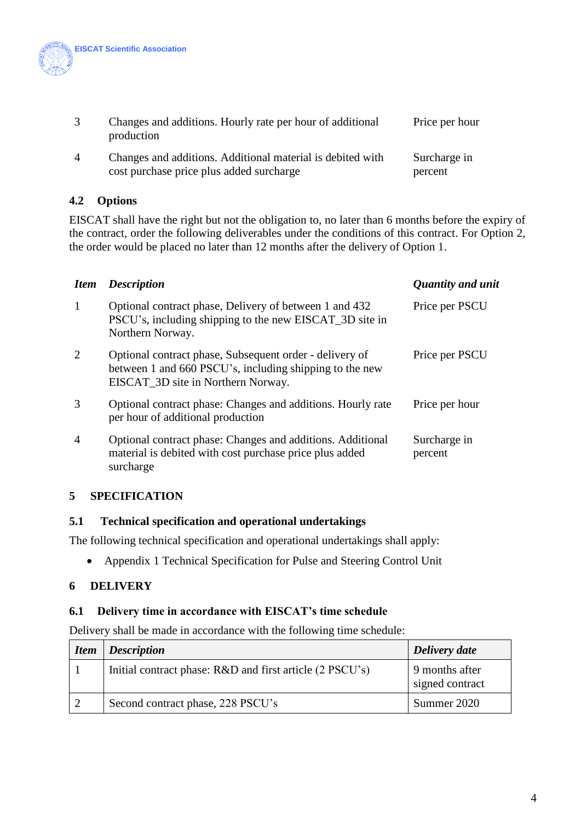

|   | Changes and additions. Hourly rate per hour of additional<br>production                                | Price per hour          |
|---|--------------------------------------------------------------------------------------------------------|-------------------------|
| 4 | Changes and additions. Additional material is debited with<br>cost purchase price plus added surcharge | Surcharge in<br>percent |

#### **4.2 Options**

EISCAT shall have the right but not the obligation to, no later than 6 months before the expiry of the contract, order the following deliverables under the conditions of this contract. For Option 2, the order would be placed no later than 12 months after the delivery of Option 1.

| <b>Description</b>                                                                                                                                       | Quantity and unit       |
|----------------------------------------------------------------------------------------------------------------------------------------------------------|-------------------------|
| Optional contract phase, Delivery of between 1 and 432<br>PSCU's, including shipping to the new EISCAT_3D site in<br>Northern Norway.                    | Price per PSCU          |
| Optional contract phase, Subsequent order - delivery of<br>between 1 and 660 PSCU's, including shipping to the new<br>EISCAT_3D site in Northern Norway. | Price per PSCU          |
| Optional contract phase: Changes and additions. Hourly rate<br>per hour of additional production                                                         | Price per hour          |
| Optional contract phase: Changes and additions. Additional<br>material is debited with cost purchase price plus added<br>surcharge                       | Surcharge in<br>percent |
|                                                                                                                                                          |                         |

#### **5 SPECIFICATION**

#### **5.1 Technical specification and operational undertakings**

The following technical specification and operational undertakings shall apply:

• Appendix 1 Technical Specification for Pulse and Steering Control Unit

#### **6 DELIVERY**

#### **6.1 Delivery time in accordance with EISCAT's time schedule**

Delivery shall be made in accordance with the following time schedule:

| <b>Item</b> | <i>Description</i>                                       | Delivery date                     |
|-------------|----------------------------------------------------------|-----------------------------------|
|             | Initial contract phase: R&D and first article (2 PSCU's) | 9 months after<br>signed contract |
|             | Second contract phase, 228 PSCU's                        | Summer 2020                       |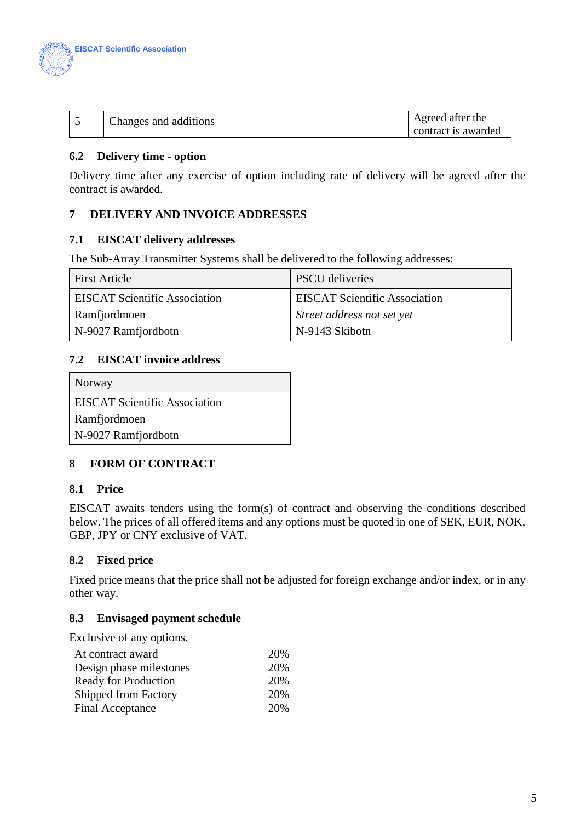

| Changes and additions | Agreed after the    |
|-----------------------|---------------------|
|                       | contract is awarded |

#### **6.2 Delivery time - option**

Delivery time after any exercise of option including rate of delivery will be agreed after the contract is awarded.

### **7 DELIVERY AND INVOICE ADDRESSES**

#### **7.1 EISCAT delivery addresses**

The Sub-Array Transmitter Systems shall be delivered to the following addresses:

| <b>First Article</b>                 | <b>PSCU</b> deliveries               |
|--------------------------------------|--------------------------------------|
| <b>EISCAT Scientific Association</b> | <b>EISCAT Scientific Association</b> |
| Ramfjordmoen                         | Street address not set yet           |
| N-9027 Ramfjordbotn                  | N-9143 Skibotn                       |

#### **7.2 EISCAT invoice address**

| Norway                               |
|--------------------------------------|
| <b>EISCAT Scientific Association</b> |
| Ramfjordmoen                         |
| N-9027 Ramfjordbotn                  |

#### **8 FORM OF CONTRACT**

#### **8.1 Price**

EISCAT awaits tenders using the form(s) of contract and observing the conditions described below. The prices of all offered items and any options must be quoted in one of SEK, EUR, NOK, GBP, JPY or CNY exclusive of VAT.

#### **8.2 Fixed price**

Fixed price means that the price shall not be adjusted for foreign exchange and/or index, or in any other way.

#### **8.3 Envisaged payment schedule**

Exclusive of any options.

| At contract award       | 20% |
|-------------------------|-----|
| Design phase milestones | 20% |
| Ready for Production    | 20% |
| Shipped from Factory    | 20% |
| <b>Final Acceptance</b> | 20% |
|                         |     |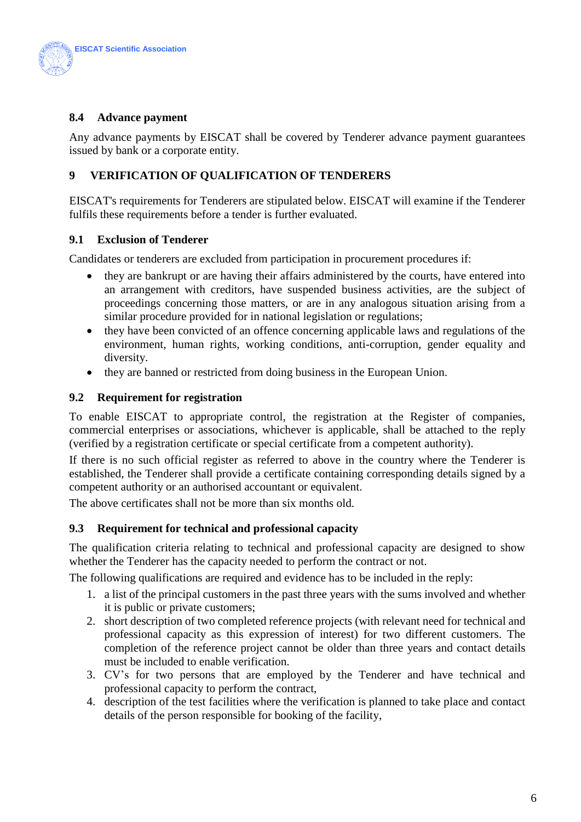

#### **8.4 Advance payment**

Any advance payments by EISCAT shall be covered by Tenderer advance payment guarantees issued by bank or a corporate entity.

#### **9 VERIFICATION OF QUALIFICATION OF TENDERERS**

EISCAT's requirements for Tenderers are stipulated below. EISCAT will examine if the Tenderer fulfils these requirements before a tender is further evaluated.

#### **9.1 Exclusion of Tenderer**

Candidates or tenderers are excluded from participation in procurement procedures if:

- they are bankrupt or are having their affairs administered by the courts, have entered into an arrangement with creditors, have suspended business activities, are the subject of proceedings concerning those matters, or are in any analogous situation arising from a similar procedure provided for in national legislation or regulations;
- they have been convicted of an offence concerning applicable laws and regulations of the environment, human rights, working conditions, anti-corruption, gender equality and diversity.
- they are banned or restricted from doing business in the European Union.

#### **9.2 Requirement for registration**

To enable EISCAT to appropriate control, the registration at the Register of companies, commercial enterprises or associations, whichever is applicable, shall be attached to the reply (verified by a registration certificate or special certificate from a competent authority).

If there is no such official register as referred to above in the country where the Tenderer is established, the Tenderer shall provide a certificate containing corresponding details signed by a competent authority or an authorised accountant or equivalent.

The above certificates shall not be more than six months old.

#### **9.3 Requirement for technical and professional capacity**

The qualification criteria relating to technical and professional capacity are designed to show whether the Tenderer has the capacity needed to perform the contract or not.

The following qualifications are required and evidence has to be included in the reply:

- 1. a list of the principal customers in the past three years with the sums involved and whether it is public or private customers;
- 2. short description of two completed reference projects (with relevant need for technical and professional capacity as this expression of interest) for two different customers. The completion of the reference project cannot be older than three years and contact details must be included to enable verification.
- 3. CV's for two persons that are employed by the Tenderer and have technical and professional capacity to perform the contract,
- 4. description of the test facilities where the verification is planned to take place and contact details of the person responsible for booking of the facility,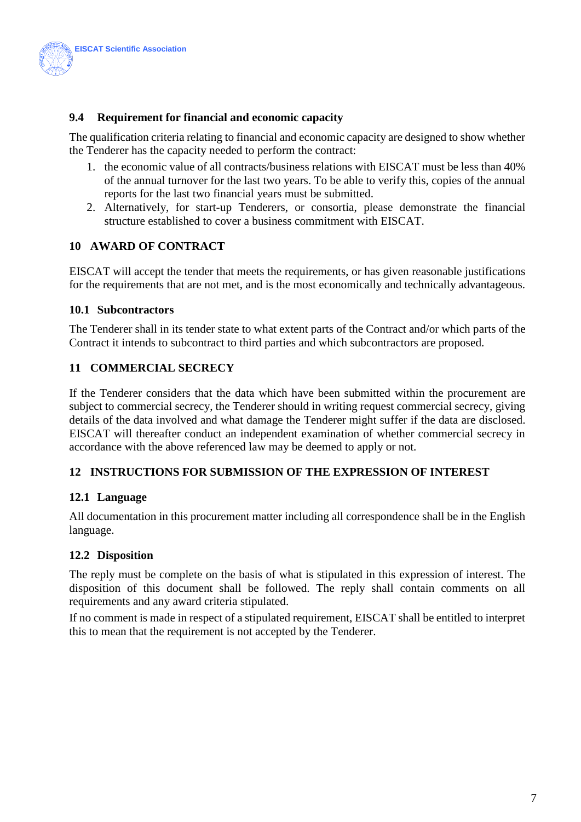

#### **9.4 Requirement for financial and economic capacity**

The qualification criteria relating to financial and economic capacity are designed to show whether the Tenderer has the capacity needed to perform the contract:

- 1. the economic value of all contracts/business relations with EISCAT must be less than 40% of the annual turnover for the last two years. To be able to verify this, copies of the annual reports for the last two financial years must be submitted.
- 2. Alternatively, for start-up Tenderers, or consortia, please demonstrate the financial structure established to cover a business commitment with EISCAT.

#### **10 AWARD OF CONTRACT**

EISCAT will accept the tender that meets the requirements, or has given reasonable justifications for the requirements that are not met, and is the most economically and technically advantageous.

#### **10.1 Subcontractors**

The Tenderer shall in its tender state to what extent parts of the Contract and/or which parts of the Contract it intends to subcontract to third parties and which subcontractors are proposed.

#### **11 COMMERCIAL SECRECY**

If the Tenderer considers that the data which have been submitted within the procurement are subject to commercial secrecy, the Tenderer should in writing request commercial secrecy, giving details of the data involved and what damage the Tenderer might suffer if the data are disclosed. EISCAT will thereafter conduct an independent examination of whether commercial secrecy in accordance with the above referenced law may be deemed to apply or not.

#### **12 INSTRUCTIONS FOR SUBMISSION OF THE EXPRESSION OF INTEREST**

#### **12.1 Language**

All documentation in this procurement matter including all correspondence shall be in the English language.

#### **12.2 Disposition**

The reply must be complete on the basis of what is stipulated in this expression of interest. The disposition of this document shall be followed. The reply shall contain comments on all requirements and any award criteria stipulated.

If no comment is made in respect of a stipulated requirement, EISCAT shall be entitled to interpret this to mean that the requirement is not accepted by the Tenderer.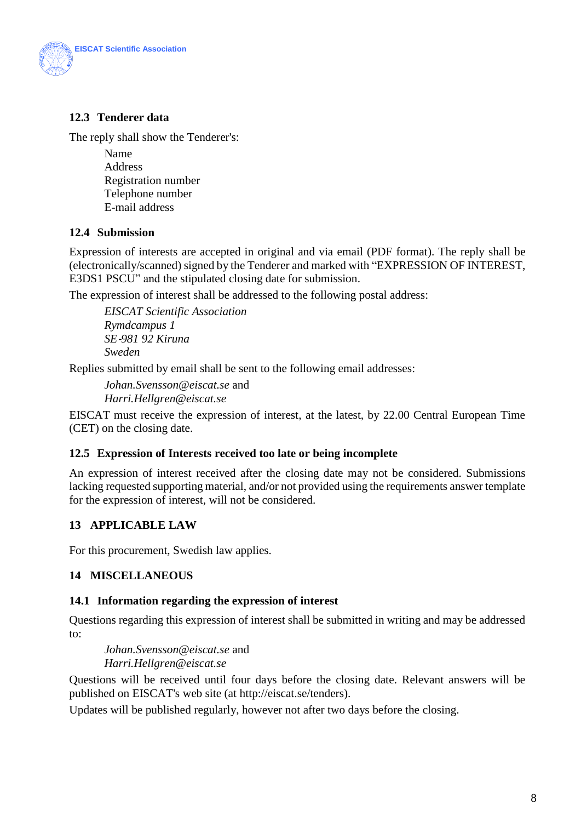

#### **12.3 Tenderer data**

The reply shall show the Tenderer's:

Name Address Registration number Telephone number E-mail address

#### **12.4 Submission**

Expression of interests are accepted in original and via email (PDF format). The reply shall be (electronically/scanned) signed by the Tenderer and marked with "EXPRESSION OF INTEREST, E3DS1 PSCU" and the stipulated closing date for submission.

The expression of interest shall be addressed to the following postal address:

*EISCAT Scientific Association Rymdcampus 1 SE*‐*981 92 Kiruna Sweden* 

Replies submitted by email shall be sent to the following email addresses:

*Johan.Svensson@eiscat.se* and *Harri.Hellgren@eiscat.se*

EISCAT must receive the expression of interest, at the latest, by 22.00 Central European Time (CET) on the closing date.

#### **12.5 Expression of Interests received too late or being incomplete**

An expression of interest received after the closing date may not be considered. Submissions lacking requested supporting material, and/or not provided using the requirements answer template for the expression of interest, will not be considered.

#### **13 APPLICABLE LAW**

For this procurement, Swedish law applies.

#### **14 MISCELLANEOUS**

#### **14.1 Information regarding the expression of interest**

Questions regarding this expression of interest shall be submitted in writing and may be addressed to:

*Johan.Svensson@eiscat.se* and *Harri.Hellgren@eiscat.se*

Questions will be received until four days before the closing date. Relevant answers will be published on EISCAT's web site (at [http://eiscat.se/tenders\)](http://eiscat.se/tenders).

Updates will be published regularly, however not after two days before the closing.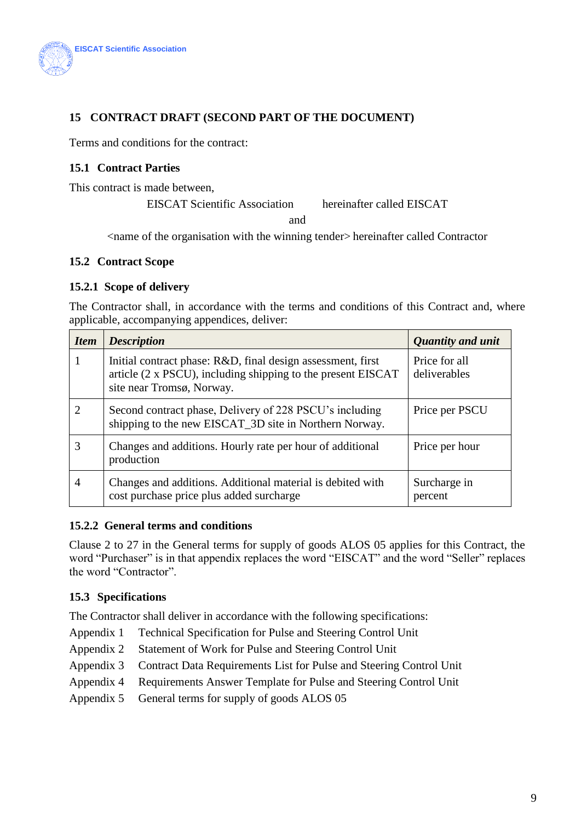

#### **15 CONTRACT DRAFT (SECOND PART OF THE DOCUMENT)**

<span id="page-8-0"></span>Terms and conditions for the contract:

#### **15.1 Contract Parties**

This contract is made between,

EISCAT Scientific Association hereinafter called EISCAT

and

<name of the organisation with the winning tender> hereinafter called Contractor

#### **15.2 Contract Scope**

#### **15.2.1 Scope of delivery**

The Contractor shall, in accordance with the terms and conditions of this Contract and, where applicable, accompanying appendices, deliver:

| <b>Item</b> | <b>Description</b>                                                                                                                                       | Quantity and unit             |
|-------------|----------------------------------------------------------------------------------------------------------------------------------------------------------|-------------------------------|
|             | Initial contract phase: R&D, final design assessment, first<br>article (2 x PSCU), including shipping to the present EISCAT<br>site near Tromsø, Norway. | Price for all<br>deliverables |
|             | Second contract phase, Delivery of 228 PSCU's including<br>shipping to the new EISCAT_3D site in Northern Norway.                                        | Price per PSCU                |
| 3           | Changes and additions. Hourly rate per hour of additional<br>production                                                                                  | Price per hour                |
| 4           | Changes and additions. Additional material is debited with<br>cost purchase price plus added surcharge                                                   | Surcharge in<br>percent       |

#### **15.2.2 General terms and conditions**

Clause 2 to 27 in the General terms for supply of goods ALOS 05 applies for this Contract, the word "Purchaser" is in that appendix replaces the word "EISCAT" and the word "Seller" replaces the word "Contractor".

#### **15.3 Specifications**

The Contractor shall deliver in accordance with the following specifications:

- Appendix 1 Technical Specification for Pulse and Steering Control Unit
- Appendix 2 Statement of Work for Pulse and Steering Control Unit
- Appendix 3 Contract Data Requirements List for Pulse and Steering Control Unit
- Appendix 4 Requirements Answer Template for Pulse and Steering Control Unit

Appendix 5 General terms for supply of goods ALOS 05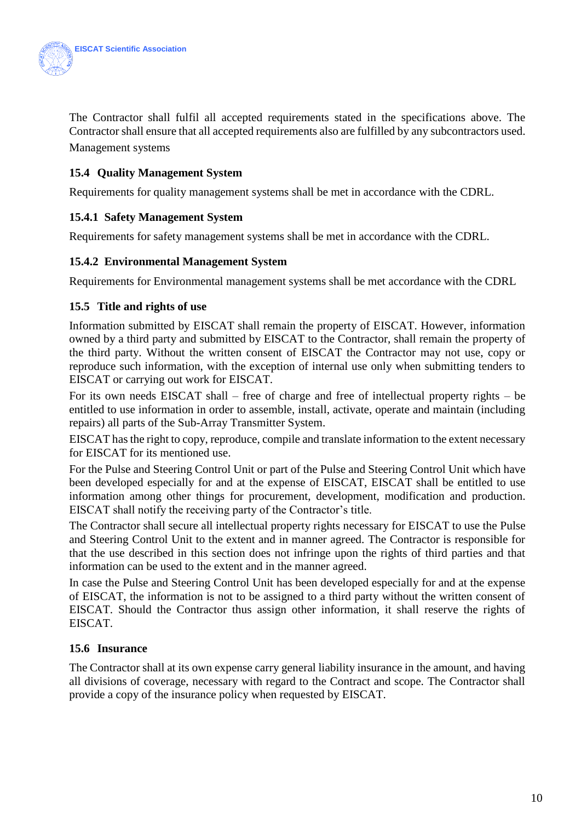

The Contractor shall fulfil all accepted requirements stated in the specifications above. The Contractor shall ensure that all accepted requirements also are fulfilled by any subcontractors used. Management systems

#### **15.4 Quality Management System**

Requirements for quality management systems shall be met in accordance with the CDRL.

#### **15.4.1 Safety Management System**

Requirements for safety management systems shall be met in accordance with the CDRL.

#### **15.4.2 Environmental Management System**

Requirements for Environmental management systems shall be met accordance with the CDRL

#### **15.5 Title and rights of use**

Information submitted by EISCAT shall remain the property of EISCAT. However, information owned by a third party and submitted by EISCAT to the Contractor, shall remain the property of the third party. Without the written consent of EISCAT the Contractor may not use, copy or reproduce such information, with the exception of internal use only when submitting tenders to EISCAT or carrying out work for EISCAT.

For its own needs EISCAT shall – free of charge and free of intellectual property rights – be entitled to use information in order to assemble, install, activate, operate and maintain (including repairs) all parts of the Sub-Array Transmitter System.

EISCAT has the right to copy, reproduce, compile and translate information to the extent necessary for EISCAT for its mentioned use.

For the Pulse and Steering Control Unit or part of the Pulse and Steering Control Unit which have been developed especially for and at the expense of EISCAT, EISCAT shall be entitled to use information among other things for procurement, development, modification and production. EISCAT shall notify the receiving party of the Contractor's title.

The Contractor shall secure all intellectual property rights necessary for EISCAT to use the Pulse and Steering Control Unit to the extent and in manner agreed. The Contractor is responsible for that the use described in this section does not infringe upon the rights of third parties and that information can be used to the extent and in the manner agreed.

In case the Pulse and Steering Control Unit has been developed especially for and at the expense of EISCAT, the information is not to be assigned to a third party without the written consent of EISCAT. Should the Contractor thus assign other information, it shall reserve the rights of EISCAT.

#### **15.6 Insurance**

The Contractor shall at its own expense carry general liability insurance in the amount, and having all divisions of coverage, necessary with regard to the Contract and scope. The Contractor shall provide a copy of the insurance policy when requested by EISCAT.